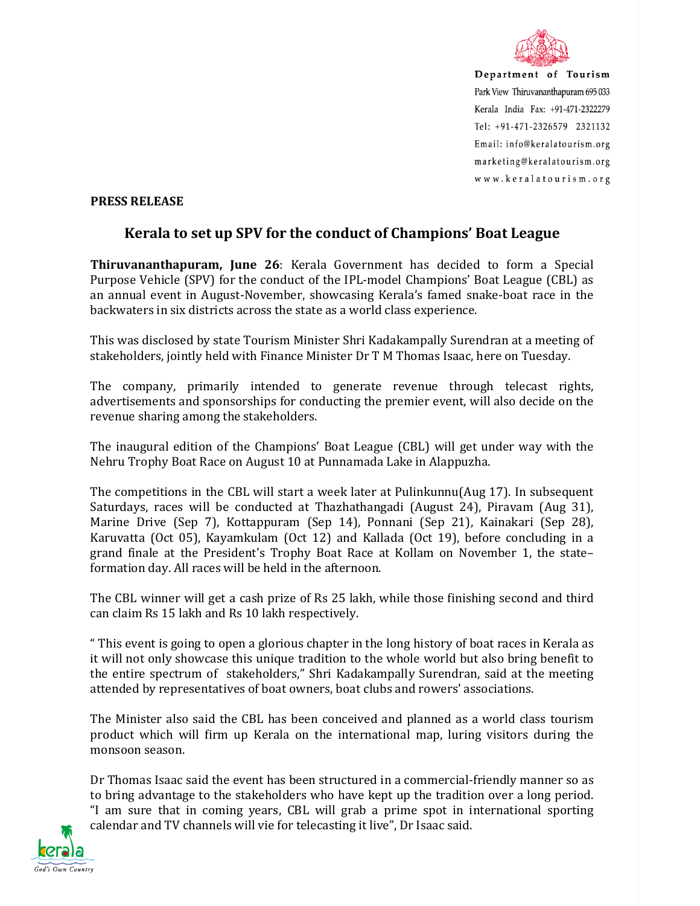

Department of Tourism Park View Thiruvananthapuram 695 033 Kerala India Fax: +91-471-2322279 Tel: +91-471-2326579 2321132 Email: info@keralatourism.org marketing@keralatourism.org www.keralatourism.org

## **PRESS RELEASE**

## **Kerala to set up SPV for the conduct of Champions' Boat League**

**Thiruvananthapuram, June 26**: Kerala Government has decided to form a Special Purpose Vehicle (SPV) for the conduct of the IPL-model Champions' Boat League (CBL) as an annual event in August-November, showcasing Kerala's famed snake-boat race in the backwaters in six districts across the state as a world class experience.

This was disclosed by state Tourism Minister Shri Kadakampally Surendran at a meeting of stakeholders, jointly held with Finance Minister Dr T M Thomas Isaac, here on Tuesday.

The company, primarily intended to generate revenue through telecast rights, advertisements and sponsorships for conducting the premier event, will also decide on the revenue sharing among the stakeholders.

The inaugural edition of the Champions' Boat League (CBL) will get under way with the Nehru Trophy Boat Race on August 10 at Punnamada Lake in Alappuzha.

The competitions in the CBL will start a week later at Pulinkunnu(Aug 17). In subsequent Saturdays, races will be conducted at Thazhathangadi (August 24), Piravam (Aug 31), Marine Drive (Sep 7), Kottappuram (Sep 14), Ponnani (Sep 21), Kainakari (Sep 28), Karuvatta (Oct 05), Kayamkulam (Oct 12) and Kallada (Oct 19), before concluding in a grand finale at the President's Trophy Boat Race at Kollam on November 1, the state– formation day. All races will be held in the afternoon.

The CBL winner will get a cash prize of Rs 25 lakh, while those finishing second and third can claim Rs 15 lakh and Rs 10 lakh respectively.

" This event is going to open a glorious chapter in the long history of boat races in Kerala as it will not only showcase this unique tradition to the whole world but also bring benefit to the entire spectrum of stakeholders," Shri Kadakampally Surendran, said at the meeting attended by representatives of boat owners, boat clubs and rowers' associations.

The Minister also said the CBL has been conceived and planned as a world class tourism product which will firm up Kerala on the international map, luring visitors during the monsoon season.

Dr Thomas Isaac said the event has been structured in a commercial-friendly manner so as to bring advantage to the stakeholders who have kept up the tradition over a long period. "I am sure that in coming years, CBL will grab a prime spot in international sporting calendar and TV channels will vie for telecasting it live", Dr Isaac said.